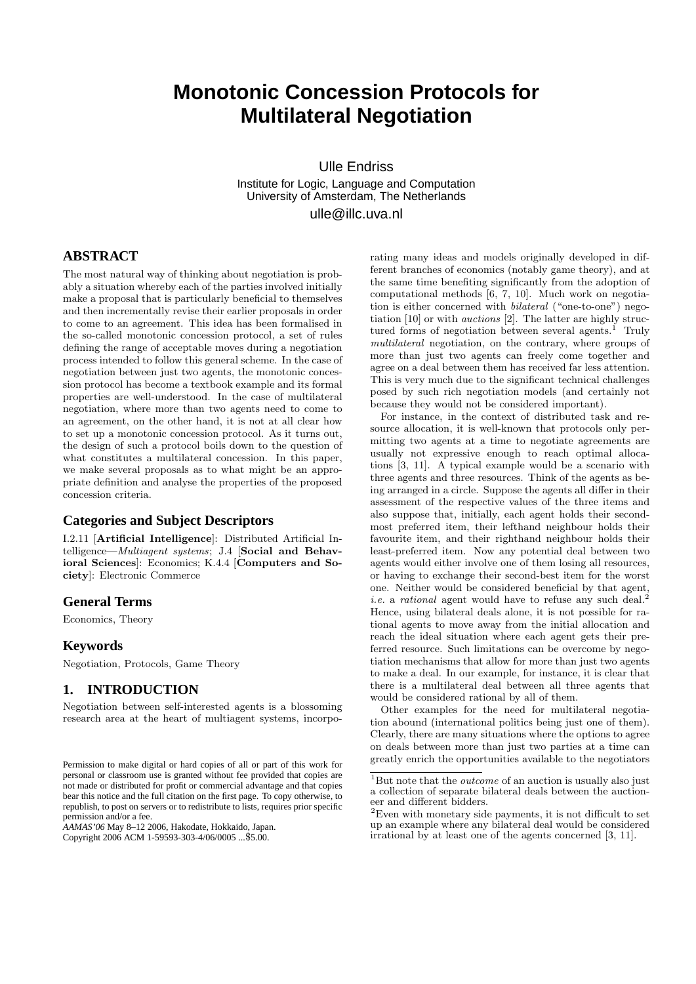# **Monotonic Concession Protocols for Multilateral Negotiation**

Ulle Endriss

Institute for Logic, Language and Computation University of Amsterdam, The Netherlands ulle@illc.uva.nl

# **ABSTRACT**

The most natural way of thinking about negotiation is probably a situation whereby each of the parties involved initially make a proposal that is particularly beneficial to themselves and then incrementally revise their earlier proposals in order to come to an agreement. This idea has been formalised in the so-called monotonic concession protocol, a set of rules defining the range of acceptable moves during a negotiation process intended to follow this general scheme. In the case of negotiation between just two agents, the monotonic concession protocol has become a textbook example and its formal properties are well-understood. In the case of multilateral negotiation, where more than two agents need to come to an agreement, on the other hand, it is not at all clear how to set up a monotonic concession protocol. As it turns out, the design of such a protocol boils down to the question of what constitutes a multilateral concession. In this paper, we make several proposals as to what might be an appropriate definition and analyse the properties of the proposed concession criteria.

#### **Categories and Subject Descriptors**

I.2.11 [Artificial Intelligence]: Distributed Artificial Intelligence—Multiagent systems; J.4 [Social and Behavioral Sciences]: Economics; K.4.4 [Computers and Society]: Electronic Commerce

# **General Terms**

Economics, Theory

## **Keywords**

Negotiation, Protocols, Game Theory

# **1. INTRODUCTION**

Negotiation between self-interested agents is a blossoming research area at the heart of multiagent systems, incorpo-

*AAMAS'06* May 8–12 2006, Hakodate, Hokkaido, Japan. Copyright 2006 ACM 1-59593-303-4/06/0005 ...\$5.00.

rating many ideas and models originally developed in different branches of economics (notably game theory), and at the same time benefiting significantly from the adoption of computational methods [6, 7, 10]. Much work on negotiation is either concerned with bilateral ("one-to-one") negotiation [10] or with auctions [2]. The latter are highly structured forms of negotiation between several agents.<sup>1</sup> Truly multilateral negotiation, on the contrary, where groups of more than just two agents can freely come together and agree on a deal between them has received far less attention. This is very much due to the significant technical challenges posed by such rich negotiation models (and certainly not because they would not be considered important).

For instance, in the context of distributed task and resource allocation, it is well-known that protocols only permitting two agents at a time to negotiate agreements are usually not expressive enough to reach optimal allocations [3, 11]. A typical example would be a scenario with three agents and three resources. Think of the agents as being arranged in a circle. Suppose the agents all differ in their assessment of the respective values of the three items and also suppose that, initially, each agent holds their secondmost preferred item, their lefthand neighbour holds their favourite item, and their righthand neighbour holds their least-preferred item. Now any potential deal between two agents would either involve one of them losing all resources, or having to exchange their second-best item for the worst one. Neither would be considered beneficial by that agent, *i.e.* a *rational* agent would have to refuse any such deal.<sup>2</sup> Hence, using bilateral deals alone, it is not possible for rational agents to move away from the initial allocation and reach the ideal situation where each agent gets their preferred resource. Such limitations can be overcome by negotiation mechanisms that allow for more than just two agents to make a deal. In our example, for instance, it is clear that there is a multilateral deal between all three agents that would be considered rational by all of them.

Other examples for the need for multilateral negotiation abound (international politics being just one of them). Clearly, there are many situations where the options to agree on deals between more than just two parties at a time can greatly enrich the opportunities available to the negotiators

Permission to make digital or hard copies of all or part of this work for personal or classroom use is granted without fee provided that copies are not made or distributed for profit or commercial advantage and that copies bear this notice and the full citation on the first page. To copy otherwise, to republish, to post on servers or to redistribute to lists, requires prior specific permission and/or a fee.

 $^1\mathbf{But}$  note that the  $outcome$  of an auction is usually also just a collection of separate bilateral deals between the auctioneer and different bidders.

<sup>2</sup>Even with monetary side payments, it is not difficult to set up an example where any bilateral deal would be considered irrational by at least one of the agents concerned [3, 11].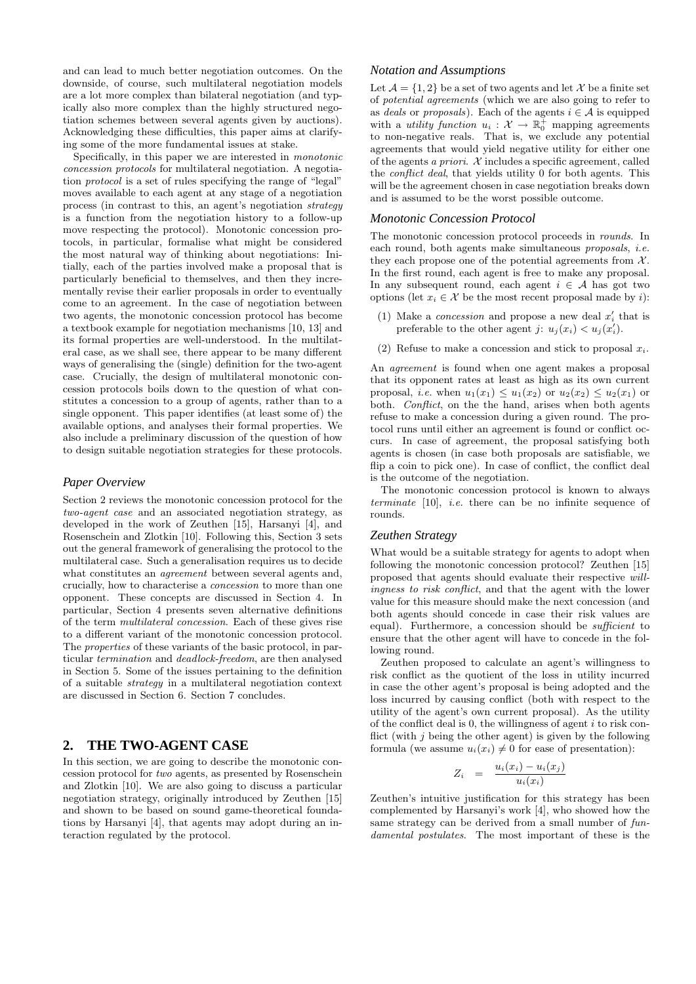and can lead to much better negotiation outcomes. On the downside, of course, such multilateral negotiation models are a lot more complex than bilateral negotiation (and typically also more complex than the highly structured negotiation schemes between several agents given by auctions). Acknowledging these difficulties, this paper aims at clarifying some of the more fundamental issues at stake.

Specifically, in this paper we are interested in monotonic concession protocols for multilateral negotiation. A negotiation protocol is a set of rules specifying the range of "legal" moves available to each agent at any stage of a negotiation process (in contrast to this, an agent's negotiation strategy is a function from the negotiation history to a follow-up move respecting the protocol). Monotonic concession protocols, in particular, formalise what might be considered the most natural way of thinking about negotiations: Initially, each of the parties involved make a proposal that is particularly beneficial to themselves, and then they incrementally revise their earlier proposals in order to eventually come to an agreement. In the case of negotiation between two agents, the monotonic concession protocol has become a textbook example for negotiation mechanisms [10, 13] and its formal properties are well-understood. In the multilateral case, as we shall see, there appear to be many different ways of generalising the (single) definition for the two-agent case. Crucially, the design of multilateral monotonic concession protocols boils down to the question of what constitutes a concession to a group of agents, rather than to a single opponent. This paper identifies (at least some of) the available options, and analyses their formal properties. We also include a preliminary discussion of the question of how to design suitable negotiation strategies for these protocols.

## *Paper Overview*

Section 2 reviews the monotonic concession protocol for the two-agent case and an associated negotiation strategy, as developed in the work of Zeuthen [15], Harsanyi [4], and Rosenschein and Zlotkin [10]. Following this, Section 3 sets out the general framework of generalising the protocol to the multilateral case. Such a generalisation requires us to decide what constitutes an *agreement* between several agents and, crucially, how to characterise a concession to more than one opponent. These concepts are discussed in Section 4. In particular, Section 4 presents seven alternative definitions of the term multilateral concession. Each of these gives rise to a different variant of the monotonic concession protocol. The properties of these variants of the basic protocol, in particular termination and deadlock-freedom, are then analysed in Section 5. Some of the issues pertaining to the definition of a suitable strategy in a multilateral negotiation context are discussed in Section 6. Section 7 concludes.

# **2. THE TWO-AGENT CASE**

In this section, we are going to describe the monotonic concession protocol for two agents, as presented by Rosenschein and Zlotkin [10]. We are also going to discuss a particular negotiation strategy, originally introduced by Zeuthen [15] and shown to be based on sound game-theoretical foundations by Harsanyi [4], that agents may adopt during an interaction regulated by the protocol.

#### *Notation and Assumptions*

Let  $\mathcal{A} = \{1, 2\}$  be a set of two agents and let X be a finite set of potential agreements (which we are also going to refer to as deals or proposals). Each of the agents  $i \in \mathcal{A}$  is equipped with a *utility function*  $u_i : \mathcal{X} \to \mathbb{R}_0^+$  mapping agreements to non-negative reals. That is, we exclude any potential agreements that would yield negative utility for either one of the agents a priori.  $\mathcal X$  includes a specific agreement, called the conflict deal, that yields utility 0 for both agents. This will be the agreement chosen in case negotiation breaks down and is assumed to be the worst possible outcome.

#### *Monotonic Concession Protocol*

The monotonic concession protocol proceeds in rounds. In each round, both agents make simultaneous proposals, i.e. they each propose one of the potential agreements from  $\mathcal{X}$ . In the first round, each agent is free to make any proposal. In any subsequent round, each agent  $i \in \mathcal{A}$  has got two options (let  $x_i \in \mathcal{X}$  be the most recent proposal made by i):

- (1) Make a *concession* and propose a new deal  $x'_i$  that is preferable to the other agent j:  $u_j(x_i) < u_j(x'_i)$ .
- (2) Refuse to make a concession and stick to proposal  $x_i$ .

An agreement is found when one agent makes a proposal that its opponent rates at least as high as its own current proposal, *i.e.* when  $u_1(x_1) \leq u_1(x_2)$  or  $u_2(x_2) \leq u_2(x_1)$  or both. Conflict, on the the hand, arises when both agents refuse to make a concession during a given round. The protocol runs until either an agreement is found or conflict occurs. In case of agreement, the proposal satisfying both agents is chosen (in case both proposals are satisfiable, we flip a coin to pick one). In case of conflict, the conflict deal is the outcome of the negotiation.

The monotonic concession protocol is known to always terminate [10], i.e. there can be no infinite sequence of rounds.

## *Zeuthen Strategy*

What would be a suitable strategy for agents to adopt when following the monotonic concession protocol? Zeuthen [15] proposed that agents should evaluate their respective willingness to risk conflict, and that the agent with the lower value for this measure should make the next concession (and both agents should concede in case their risk values are equal). Furthermore, a concession should be *sufficient* to ensure that the other agent will have to concede in the following round.

Zeuthen proposed to calculate an agent's willingness to risk conflict as the quotient of the loss in utility incurred in case the other agent's proposal is being adopted and the loss incurred by causing conflict (both with respect to the utility of the agent's own current proposal). As the utility of the conflict deal is 0, the willingness of agent  $i$  to risk conflict (with  $j$  being the other agent) is given by the following formula (we assume  $u_i(x_i) \neq 0$  for ease of presentation):

$$
Z_i = \frac{u_i(x_i) - u_i(x_j)}{u_i(x_i)}
$$

Zeuthen's intuitive justification for this strategy has been complemented by Harsanyi's work [4], who showed how the same strategy can be derived from a small number of fundamental postulates. The most important of these is the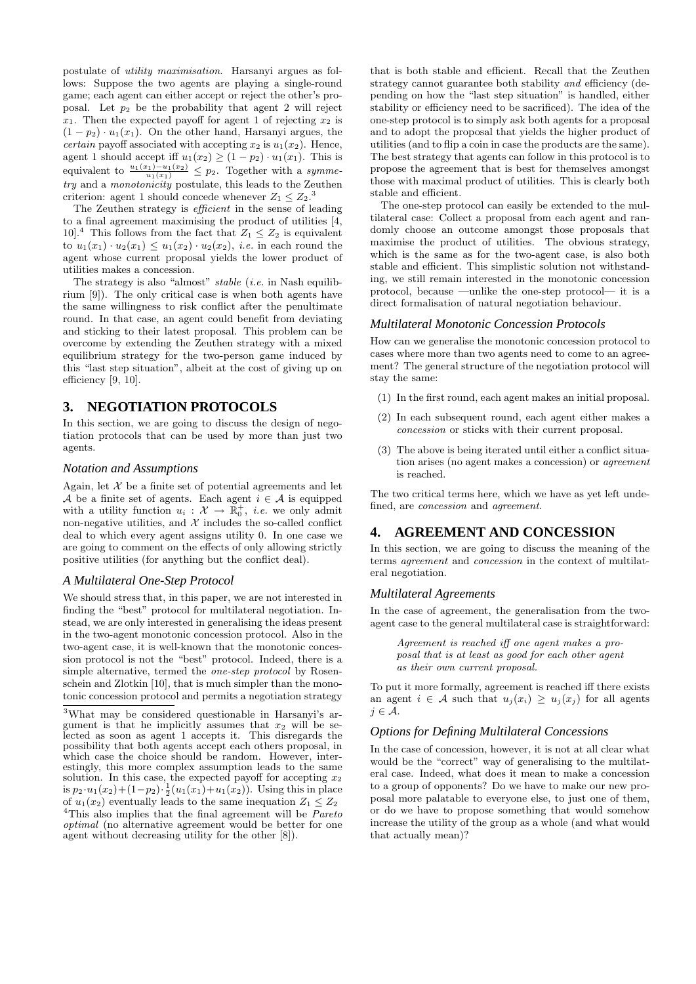postulate of utility maximisation. Harsanyi argues as follows: Suppose the two agents are playing a single-round game; each agent can either accept or reject the other's proposal. Let  $p_2$  be the probability that agent 2 will reject  $x_1$ . Then the expected payoff for agent 1 of rejecting  $x_2$  is  $(1 - p_2) \cdot u_1(x_1)$ . On the other hand, Harsanyi argues, the certain payoff associated with accepting  $x_2$  is  $u_1(x_2)$ . Hence, agent 1 should accept iff  $u_1(x_2) \geq (1-p_2) \cdot u_1(x_1)$ . This is equivalent to  $\frac{u_1(x_1)-u_1(x_2)}{u_1(x_1)} \leq p_2$ . Together with a symme $try$  and a *monotonicity* postulate, this leads to the Zeuthen criterion: agent 1 should concede whenever  $Z_1 \leq Z_2$ .<sup>3</sup>

The Zeuthen strategy is *efficient* in the sense of leading to a final agreement maximising the product of utilities [4, 10].<sup>4</sup> This follows from the fact that  $Z_1 \leq Z_2$  is equivalent to  $u_1(x_1) \cdot u_2(x_1) \leq u_1(x_2) \cdot u_2(x_2)$ , *i.e.* in each round the agent whose current proposal yields the lower product of utilities makes a concession.

The strategy is also "almost" *stable* (*i.e.* in Nash equilibrium [9]). The only critical case is when both agents have the same willingness to risk conflict after the penultimate round. In that case, an agent could benefit from deviating and sticking to their latest proposal. This problem can be overcome by extending the Zeuthen strategy with a mixed equilibrium strategy for the two-person game induced by this "last step situation", albeit at the cost of giving up on efficiency [9, 10].

# **3. NEGOTIATION PROTOCOLS**

In this section, we are going to discuss the design of negotiation protocols that can be used by more than just two agents.

#### *Notation and Assumptions*

Again, let  $X$  be a finite set of potential agreements and let A be a finite set of agents. Each agent  $i \in \mathcal{A}$  is equipped with a utility function  $u_i: \mathcal{X} \to \mathbb{R}_0^+$ , *i.e.* we only admit non-negative utilities, and  $X$  includes the so-called conflict deal to which every agent assigns utility 0. In one case we are going to comment on the effects of only allowing strictly positive utilities (for anything but the conflict deal).

## *A Multilateral One-Step Protocol*

We should stress that, in this paper, we are not interested in finding the "best" protocol for multilateral negotiation. Instead, we are only interested in generalising the ideas present in the two-agent monotonic concession protocol. Also in the two-agent case, it is well-known that the monotonic concession protocol is not the "best" protocol. Indeed, there is a simple alternative, termed the one-step protocol by Rosenschein and Zlotkin [10], that is much simpler than the monotonic concession protocol and permits a negotiation strategy

that is both stable and efficient. Recall that the Zeuthen strategy cannot guarantee both stability and efficiency (depending on how the "last step situation" is handled, either stability or efficiency need to be sacrificed). The idea of the one-step protocol is to simply ask both agents for a proposal and to adopt the proposal that yields the higher product of utilities (and to flip a coin in case the products are the same). The best strategy that agents can follow in this protocol is to propose the agreement that is best for themselves amongst those with maximal product of utilities. This is clearly both stable and efficient.

The one-step protocol can easily be extended to the multilateral case: Collect a proposal from each agent and randomly choose an outcome amongst those proposals that maximise the product of utilities. The obvious strategy, which is the same as for the two-agent case, is also both stable and efficient. This simplistic solution not withstanding, we still remain interested in the monotonic concession protocol, because —unlike the one-step protocol— it is a direct formalisation of natural negotiation behaviour.

#### *Multilateral Monotonic Concession Protocols*

How can we generalise the monotonic concession protocol to cases where more than two agents need to come to an agreement? The general structure of the negotiation protocol will stay the same:

- (1) In the first round, each agent makes an initial proposal.
- (2) In each subsequent round, each agent either makes a concession or sticks with their current proposal.
- (3) The above is being iterated until either a conflict situation arises (no agent makes a concession) or agreement is reached.

The two critical terms here, which we have as yet left undefined, are concession and agreement.

# **4. AGREEMENT AND CONCESSION**

In this section, we are going to discuss the meaning of the terms agreement and concession in the context of multilateral negotiation.

#### *Multilateral Agreements*

In the case of agreement, the generalisation from the twoagent case to the general multilateral case is straightforward:

Agreement is reached iff one agent makes a proposal that is at least as good for each other agent as their own current proposal.

To put it more formally, agreement is reached iff there exists an agent  $i \in \mathcal{A}$  such that  $u_i(x_i) \geq u_i(x_i)$  for all agents  $j \in \mathcal{A}$ .

#### *Options for Defining Multilateral Concessions*

In the case of concession, however, it is not at all clear what would be the "correct" way of generalising to the multilateral case. Indeed, what does it mean to make a concession to a group of opponents? Do we have to make our new proposal more palatable to everyone else, to just one of them, or do we have to propose something that would somehow increase the utility of the group as a whole (and what would that actually mean)?

<sup>3</sup>What may be considered questionable in Harsanyi's argument is that he implicitly assumes that  $x_2$  will be selected as soon as agent 1 accepts it. This disregards the possibility that both agents accept each others proposal, in which case the choice should be random. However, interestingly, this more complex assumption leads to the same solution. In this case, the expected payoff for accepting  $x_2$ is  $p_2 \cdot u_1(x_2) + (1-p_2) \cdot \frac{1}{2}(u_1(x_1) + u_1(x_2))$ . Using this in place of  $u_1(x_2)$  eventually leads to the same inequation  $Z_1 \leq Z_2$ <sup>4</sup>This also implies that the final agreement will be *Pareto* optimal (no alternative agreement would be better for one agent without decreasing utility for the other [8]).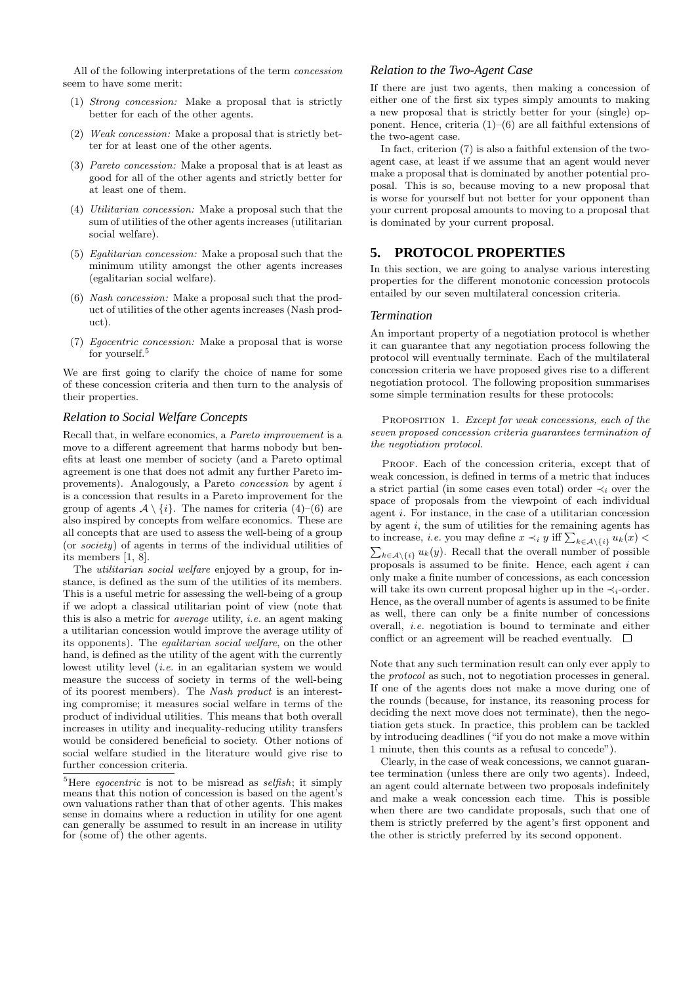All of the following interpretations of the term concession seem to have some merit:

- (1) Strong concession: Make a proposal that is strictly better for each of the other agents.
- (2) Weak concession: Make a proposal that is strictly better for at least one of the other agents.
- (3) Pareto concession: Make a proposal that is at least as good for all of the other agents and strictly better for at least one of them.
- (4) Utilitarian concession: Make a proposal such that the sum of utilities of the other agents increases (utilitarian social welfare).
- (5) Egalitarian concession: Make a proposal such that the minimum utility amongst the other agents increases (egalitarian social welfare).
- (6) Nash concession: Make a proposal such that the product of utilities of the other agents increases (Nash product).
- (7) Egocentric concession: Make a proposal that is worse for yourself.<sup>5</sup>

We are first going to clarify the choice of name for some of these concession criteria and then turn to the analysis of their properties.

## *Relation to Social Welfare Concepts*

Recall that, in welfare economics, a Pareto improvement is a move to a different agreement that harms nobody but benefits at least one member of society (and a Pareto optimal agreement is one that does not admit any further Pareto improvements). Analogously, a Pareto concession by agent i is a concession that results in a Pareto improvement for the group of agents  $A \setminus \{i\}$ . The names for criteria (4)–(6) are also inspired by concepts from welfare economics. These are all concepts that are used to assess the well-being of a group (or society) of agents in terms of the individual utilities of its members [1, 8].

The utilitarian social welfare enjoyed by a group, for instance, is defined as the sum of the utilities of its members. This is a useful metric for assessing the well-being of a group if we adopt a classical utilitarian point of view (note that this is also a metric for average utility, i.e. an agent making a utilitarian concession would improve the average utility of its opponents). The egalitarian social welfare, on the other hand, is defined as the utility of the agent with the currently lowest utility level *(i.e.* in an egalitarian system we would measure the success of society in terms of the well-being of its poorest members). The Nash product is an interesting compromise; it measures social welfare in terms of the product of individual utilities. This means that both overall increases in utility and inequality-reducing utility transfers would be considered beneficial to society. Other notions of social welfare studied in the literature would give rise to further concession criteria.

#### *Relation to the Two-Agent Case*

If there are just two agents, then making a concession of either one of the first six types simply amounts to making a new proposal that is strictly better for your (single) opponent. Hence, criteria  $(1)$ – $(6)$  are all faithful extensions of the two-agent case.

In fact, criterion (7) is also a faithful extension of the twoagent case, at least if we assume that an agent would never make a proposal that is dominated by another potential proposal. This is so, because moving to a new proposal that is worse for yourself but not better for your opponent than your current proposal amounts to moving to a proposal that is dominated by your current proposal.

#### **5. PROTOCOL PROPERTIES**

In this section, we are going to analyse various interesting properties for the different monotonic concession protocols entailed by our seven multilateral concession criteria.

#### *Termination*

An important property of a negotiation protocol is whether it can guarantee that any negotiation process following the protocol will eventually terminate. Each of the multilateral concession criteria we have proposed gives rise to a different negotiation protocol. The following proposition summarises some simple termination results for these protocols:

PROPOSITION 1. Except for weak concessions, each of the seven proposed concession criteria guarantees termination of the negotiation protocol.

PROOF. Each of the concession criteria, except that of weak concession, is defined in terms of a metric that induces a strict partial (in some cases even total) order  $\prec_i$  over the space of proposals from the viewpoint of each individual agent i. For instance, in the case of a utilitarian concession by agent  $i$ , the sum of utilities for the remaining agents has to increase, *i.e.* you may define  $x \prec_i y$  iff  $\sum_{k \in A \setminus \{i\}} u_k(x)$  $\sum_{k\in\mathcal{A}\backslash\{i\}}u_k(y)$ . Recall that the overall number of possible proposals is assumed to be finite. Hence, each agent  $i$  can only make a finite number of concessions, as each concession will take its own current proposal higher up in the  $\prec_i$ -order. Hence, as the overall number of agents is assumed to be finite as well, there can only be a finite number of concessions overall, i.e. negotiation is bound to terminate and either conflict or an agreement will be reached eventually.  $\square$ 

Note that any such termination result can only ever apply to the protocol as such, not to negotiation processes in general. If one of the agents does not make a move during one of the rounds (because, for instance, its reasoning process for deciding the next move does not terminate), then the negotiation gets stuck. In practice, this problem can be tackled by introducing deadlines ("if you do not make a move within 1 minute, then this counts as a refusal to concede").

Clearly, in the case of weak concessions, we cannot guarantee termination (unless there are only two agents). Indeed, an agent could alternate between two proposals indefinitely and make a weak concession each time. This is possible when there are two candidate proposals, such that one of them is strictly preferred by the agent's first opponent and the other is strictly preferred by its second opponent.

<sup>&</sup>lt;sup>5</sup>Here *egocentric* is not to be misread as *selfish*; it simply means that this notion of concession is based on the agent's own valuations rather than that of other agents. This makes sense in domains where a reduction in utility for one agent can generally be assumed to result in an increase in utility for (some of) the other agents.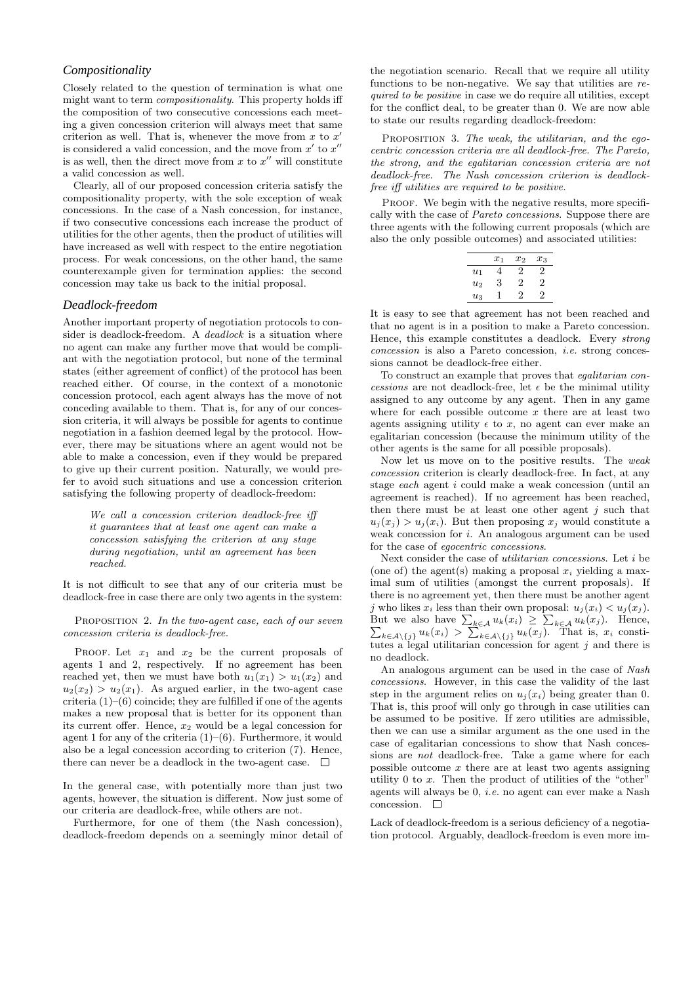#### *Compositionality*

Closely related to the question of termination is what one might want to term compositionality. This property holds iff the composition of two consecutive concessions each meeting a given concession criterion will always meet that same criterion as well. That is, whenever the move from  $x$  to  $x'$ is considered a valid concession, and the move from  $x'$  to  $x''$ is as well, then the direct move from  $x$  to  $x''$  will constitute a valid concession as well.

Clearly, all of our proposed concession criteria satisfy the compositionality property, with the sole exception of weak concessions. In the case of a Nash concession, for instance, if two consecutive concessions each increase the product of utilities for the other agents, then the product of utilities will have increased as well with respect to the entire negotiation process. For weak concessions, on the other hand, the same counterexample given for termination applies: the second concession may take us back to the initial proposal.

#### *Deadlock-freedom*

Another important property of negotiation protocols to consider is deadlock-freedom. A *deadlock* is a situation where no agent can make any further move that would be compliant with the negotiation protocol, but none of the terminal states (either agreement of conflict) of the protocol has been reached either. Of course, in the context of a monotonic concession protocol, each agent always has the move of not conceding available to them. That is, for any of our concession criteria, it will always be possible for agents to continue negotiation in a fashion deemed legal by the protocol. However, there may be situations where an agent would not be able to make a concession, even if they would be prepared to give up their current position. Naturally, we would prefer to avoid such situations and use a concession criterion satisfying the following property of deadlock-freedom:

We call a concession criterion deadlock-free iff it guarantees that at least one agent can make a concession satisfying the criterion at any stage during negotiation, until an agreement has been reached.

It is not difficult to see that any of our criteria must be deadlock-free in case there are only two agents in the system:

PROPOSITION 2. In the two-agent case, each of our seven concession criteria is deadlock-free.

PROOF. Let  $x_1$  and  $x_2$  be the current proposals of agents 1 and 2, respectively. If no agreement has been reached yet, then we must have both  $u_1(x_1) > u_1(x_2)$  and  $u_2(x_2) > u_2(x_1)$ . As argued earlier, in the two-agent case criteria  $(1)$ – $(6)$  coincide; they are fulfilled if one of the agents makes a new proposal that is better for its opponent than its current offer. Hence,  $x_2$  would be a legal concession for agent 1 for any of the criteria  $(1)$ – $(6)$ . Furthermore, it would also be a legal concession according to criterion (7). Hence, there can never be a deadlock in the two-agent case.  $\Box$ 

In the general case, with potentially more than just two agents, however, the situation is different. Now just some of our criteria are deadlock-free, while others are not.

Furthermore, for one of them (the Nash concession), deadlock-freedom depends on a seemingly minor detail of

the negotiation scenario. Recall that we require all utility functions to be non-negative. We say that utilities are required to be positive in case we do require all utilities, except for the conflict deal, to be greater than 0. We are now able to state our results regarding deadlock-freedom:

PROPOSITION 3. The weak, the utilitarian, and the egocentric concession criteria are all deadlock-free. The Pareto, the strong, and the egalitarian concession criteria are not deadlock-free. The Nash concession criterion is deadlockfree iff utilities are required to be positive.

PROOF. We begin with the negative results, more specifically with the case of Pareto concessions. Suppose there are three agents with the following current proposals (which are also the only possible outcomes) and associated utilities:

|       | $x_1$ | $x_2$ | $x_3$ |
|-------|-------|-------|-------|
| $u_1$ | 4     | 2     | 2     |
| $u_2$ | з     | 2     | 2     |
|       |       | 2     |       |
| $u_3$ |       |       |       |

It is easy to see that agreement has not been reached and that no agent is in a position to make a Pareto concession. Hence, this example constitutes a deadlock. Every strong concession is also a Pareto concession, i.e. strong concessions cannot be deadlock-free either.

To construct an example that proves that egalitarian concessions are not deadlock-free, let  $\epsilon$  be the minimal utility assigned to any outcome by any agent. Then in any game where for each possible outcome  $x$  there are at least two agents assigning utility  $\epsilon$  to x, no agent can ever make an egalitarian concession (because the minimum utility of the other agents is the same for all possible proposals).

Now let us move on to the positive results. The weak concession criterion is clearly deadlock-free. In fact, at any stage each agent i could make a weak concession (until an agreement is reached). If no agreement has been reached, then there must be at least one other agent  $j$  such that  $u_i(x_i) > u_i(x_i)$ . But then proposing  $x_i$  would constitute a weak concession for i. An analogous argument can be used for the case of egocentric concessions.

Next consider the case of utilitarian concessions. Let i be (one of) the agent(s) making a proposal  $x_i$  yielding a maximal sum of utilities (amongst the current proposals). If there is no agreement yet, then there must be another agent j who likes  $x_i$  less than their own proposal:  $u_j(x_i) < u_j(x_j)$ . But we also have  $\sum_{k \in A} u_k(x_i) \ge \sum_{k \in A} u_k(x_j)$ . Hence,<br> $\sum_{k \in A \setminus \{j\}} u_k(x_i) > \sum_{k \in A \setminus \{j\}} u_k(x_j)$ . That is,  $x_i$  constitutes a legal utilitarian concession for agent  $j$  and there is no deadlock.

An analogous argument can be used in the case of Nash concessions. However, in this case the validity of the last step in the argument relies on  $u_i(x_i)$  being greater than 0. That is, this proof will only go through in case utilities can be assumed to be positive. If zero utilities are admissible, then we can use a similar argument as the one used in the case of egalitarian concessions to show that Nash concessions are not deadlock-free. Take a game where for each possible outcome  $x$  there are at least two agents assigning utility  $0$  to  $x$ . Then the product of utilities of the "other" agents will always be 0, i.e. no agent can ever make a Nash  $\Box$ concession $\Box$ 

Lack of deadlock-freedom is a serious deficiency of a negotiation protocol. Arguably, deadlock-freedom is even more im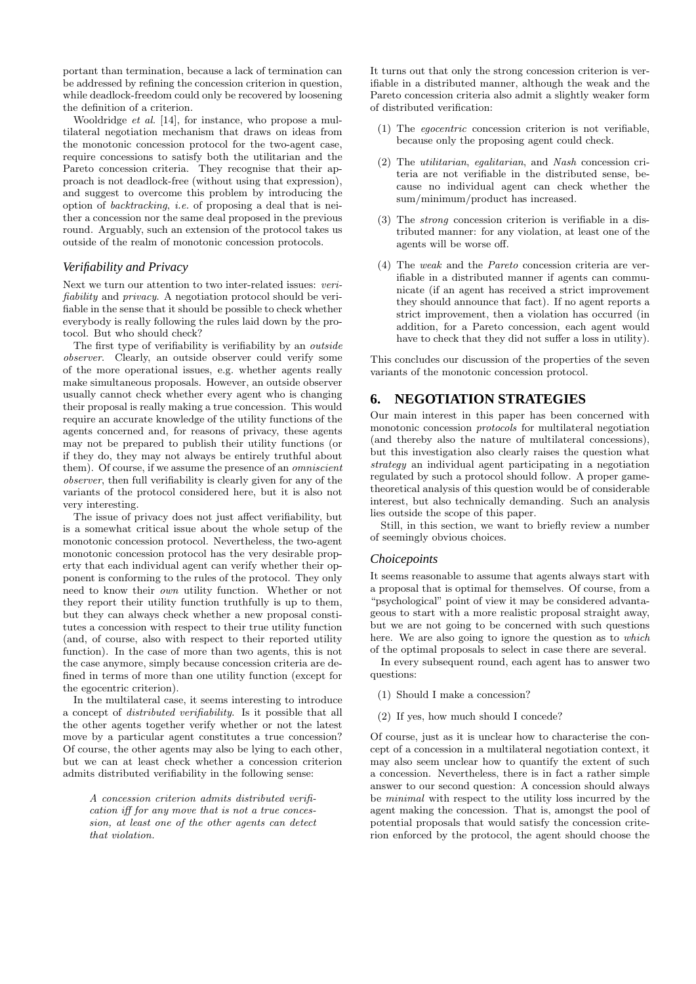portant than termination, because a lack of termination can be addressed by refining the concession criterion in question, while deadlock-freedom could only be recovered by loosening the definition of a criterion.

Wooldridge et al. [14], for instance, who propose a multilateral negotiation mechanism that draws on ideas from the monotonic concession protocol for the two-agent case, require concessions to satisfy both the utilitarian and the Pareto concession criteria. They recognise that their approach is not deadlock-free (without using that expression), and suggest to overcome this problem by introducing the option of backtracking, i.e. of proposing a deal that is neither a concession nor the same deal proposed in the previous round. Arguably, such an extension of the protocol takes us outside of the realm of monotonic concession protocols.

## *Verifiability and Privacy*

Next we turn our attention to two inter-related issues: verifiability and privacy. A negotiation protocol should be verifiable in the sense that it should be possible to check whether everybody is really following the rules laid down by the protocol. But who should check?

The first type of verifiability is verifiability by an outside observer. Clearly, an outside observer could verify some of the more operational issues, e.g. whether agents really make simultaneous proposals. However, an outside observer usually cannot check whether every agent who is changing their proposal is really making a true concession. This would require an accurate knowledge of the utility functions of the agents concerned and, for reasons of privacy, these agents may not be prepared to publish their utility functions (or if they do, they may not always be entirely truthful about them). Of course, if we assume the presence of an *omniscient* observer, then full verifiability is clearly given for any of the variants of the protocol considered here, but it is also not very interesting.

The issue of privacy does not just affect verifiability, but is a somewhat critical issue about the whole setup of the monotonic concession protocol. Nevertheless, the two-agent monotonic concession protocol has the very desirable property that each individual agent can verify whether their opponent is conforming to the rules of the protocol. They only need to know their own utility function. Whether or not they report their utility function truthfully is up to them, but they can always check whether a new proposal constitutes a concession with respect to their true utility function (and, of course, also with respect to their reported utility function). In the case of more than two agents, this is not the case anymore, simply because concession criteria are defined in terms of more than one utility function (except for the egocentric criterion).

In the multilateral case, it seems interesting to introduce a concept of distributed verifiability. Is it possible that all the other agents together verify whether or not the latest move by a particular agent constitutes a true concession? Of course, the other agents may also be lying to each other, but we can at least check whether a concession criterion admits distributed verifiability in the following sense:

A concession criterion admits distributed verification iff for any move that is not a true concession, at least one of the other agents can detect that violation.

It turns out that only the strong concession criterion is verifiable in a distributed manner, although the weak and the Pareto concession criteria also admit a slightly weaker form of distributed verification:

- (1) The egocentric concession criterion is not verifiable, because only the proposing agent could check.
- (2) The utilitarian, egalitarian, and Nash concession criteria are not verifiable in the distributed sense, because no individual agent can check whether the sum/minimum/product has increased.
- (3) The strong concession criterion is verifiable in a distributed manner: for any violation, at least one of the agents will be worse off.
- (4) The weak and the Pareto concession criteria are verifiable in a distributed manner if agents can communicate (if an agent has received a strict improvement they should announce that fact). If no agent reports a strict improvement, then a violation has occurred (in addition, for a Pareto concession, each agent would have to check that they did not suffer a loss in utility).

This concludes our discussion of the properties of the seven variants of the monotonic concession protocol.

# **6. NEGOTIATION STRATEGIES**

Our main interest in this paper has been concerned with monotonic concession protocols for multilateral negotiation (and thereby also the nature of multilateral concessions), but this investigation also clearly raises the question what strategy an individual agent participating in a negotiation regulated by such a protocol should follow. A proper gametheoretical analysis of this question would be of considerable interest, but also technically demanding. Such an analysis lies outside the scope of this paper.

Still, in this section, we want to briefly review a number of seemingly obvious choices.

#### *Choicepoints*

It seems reasonable to assume that agents always start with a proposal that is optimal for themselves. Of course, from a "psychological" point of view it may be considered advantageous to start with a more realistic proposal straight away, but we are not going to be concerned with such questions here. We are also going to ignore the question as to which of the optimal proposals to select in case there are several.

In every subsequent round, each agent has to answer two questions:

- (1) Should I make a concession?
- (2) If yes, how much should I concede?

Of course, just as it is unclear how to characterise the concept of a concession in a multilateral negotiation context, it may also seem unclear how to quantify the extent of such a concession. Nevertheless, there is in fact a rather simple answer to our second question: A concession should always be minimal with respect to the utility loss incurred by the agent making the concession. That is, amongst the pool of potential proposals that would satisfy the concession criterion enforced by the protocol, the agent should choose the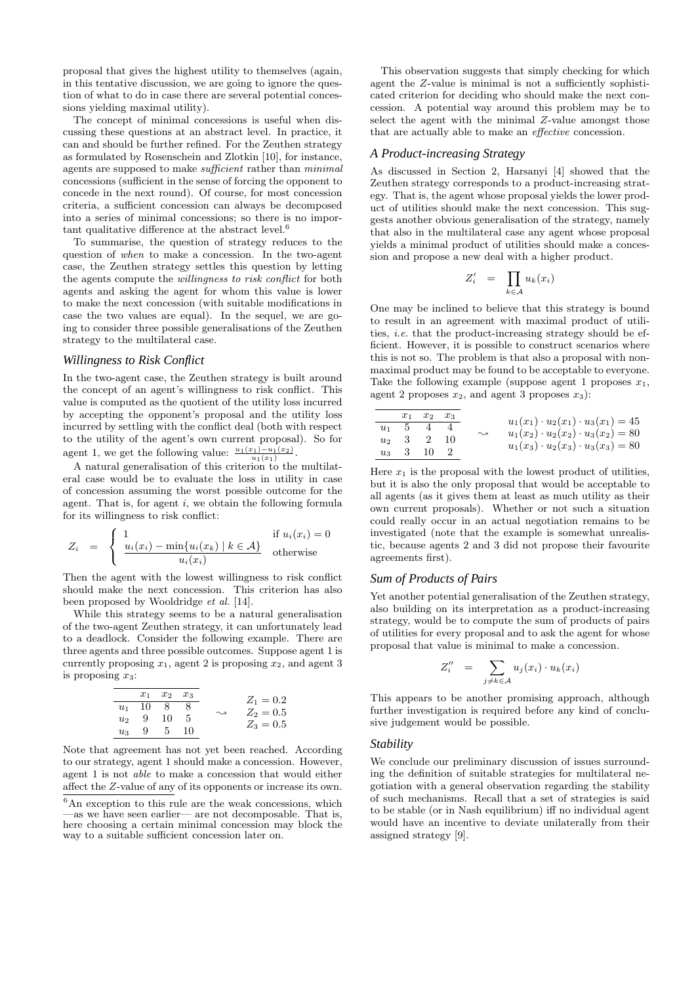proposal that gives the highest utility to themselves (again, in this tentative discussion, we are going to ignore the question of what to do in case there are several potential concessions yielding maximal utility).

The concept of minimal concessions is useful when discussing these questions at an abstract level. In practice, it can and should be further refined. For the Zeuthen strategy as formulated by Rosenschein and Zlotkin [10], for instance, agents are supposed to make sufficient rather than minimal concessions (sufficient in the sense of forcing the opponent to concede in the next round). Of course, for most concession criteria, a sufficient concession can always be decomposed into a series of minimal concessions; so there is no important qualitative difference at the abstract level. $<sup>6</sup>$ </sup>

To summarise, the question of strategy reduces to the question of when to make a concession. In the two-agent case, the Zeuthen strategy settles this question by letting the agents compute the willingness to risk conflict for both agents and asking the agent for whom this value is lower to make the next concession (with suitable modifications in case the two values are equal). In the sequel, we are going to consider three possible generalisations of the Zeuthen strategy to the multilateral case.

#### *Willingness to Risk Conflict*

In the two-agent case, the Zeuthen strategy is built around the concept of an agent's willingness to risk conflict. This value is computed as the quotient of the utility loss incurred by accepting the opponent's proposal and the utility loss incurred by settling with the conflict deal (both with respect to the utility of the agent's own current proposal). So for agent 1, we get the following value:  $\frac{u_1(x_1)-u_1(x_2)}{u_1(x_1)}$ .

A natural generalisation of this criterion to the multilateral case would be to evaluate the loss in utility in case of concession assuming the worst possible outcome for the agent. That is, for agent  $i$ , we obtain the following formula for its willingness to risk conflict:

$$
Z_i = \begin{cases} 1 & \text{if } u_i(x_i) = 0\\ \frac{u_i(x_i) - \min\{u_i(x_k) \mid k \in \mathcal{A}\}}{u_i(x_i)} & \text{otherwise} \end{cases}
$$

Then the agent with the lowest willingness to risk conflict should make the next concession. This criterion has also been proposed by Wooldridge et al. [14].

While this strategy seems to be a natural generalisation of the two-agent Zeuthen strategy, it can unfortunately lead to a deadlock. Consider the following example. There are three agents and three possible outcomes. Suppose agent 1 is currently proposing  $x_1$ , agent 2 is proposing  $x_2$ , and agent 3 is proposing  $x_3$ :

| $x_1$ | $x_2$ | $x_3$ |    |
|-------|-------|-------|----|
| $u_1$ | 10    | 8     | 8  |
| $u_2$ | 9     | 10    | 5  |
| $u_3$ | 9     | 5     | 10 |

\n

| $Z_1$ | = 0.2 |   |    |
|-------|-------|---|----|
| $Z_2$ | = 0.5 |   |    |
| $u_3$ | 9     | 5 | 10 |

Note that agreement has not yet been reached. According to our strategy, agent 1 should make a concession. However, agent 1 is not able to make a concession that would either affect the Z-value of any of its opponents or increase its own.

This observation suggests that simply checking for which agent the Z-value is minimal is not a sufficiently sophisticated criterion for deciding who should make the next concession. A potential way around this problem may be to select the agent with the minimal Z-value amongst those that are actually able to make an effective concession.

#### *A Product-increasing Strategy*

As discussed in Section 2, Harsanyi [4] showed that the Zeuthen strategy corresponds to a product-increasing strategy. That is, the agent whose proposal yields the lower product of utilities should make the next concession. This suggests another obvious generalisation of the strategy, namely that also in the multilateral case any agent whose proposal yields a minimal product of utilities should make a concession and propose a new deal with a higher product.

$$
Z'_i = \prod_{k \in \mathcal{A}} u_k(x_i)
$$

One may be inclined to believe that this strategy is bound to result in an agreement with maximal product of utilities, i.e. that the product-increasing strategy should be efficient. However, it is possible to construct scenarios where this is not so. The problem is that also a proposal with nonmaximal product may be found to be acceptable to everyone. Take the following example (suppose agent 1 proposes  $x_1$ , agent 2 proposes  $x_2$ , and agent 3 proposes  $x_3$ ):

$$
\begin{array}{cccc}\nx_1 & x_2 & x_3 \\
\hline\nu_1 & 5 & 4 & 4 \\
u_2 & 3 & 2 & 10 \\
u_3 & 3 & 10 & 2\n\end{array}\n\rightarrow\n\begin{array}{c}\nu_1(x_1) \cdot u_2(x_1) \cdot u_3(x_1) = 45 \\
u_1(x_2) \cdot u_2(x_2) \cdot u_3(x_2) = 80 \\
u_1(x_3) \cdot u_2(x_3) \cdot u_3(x_3) = 80\n\end{array}
$$

Here  $x_1$  is the proposal with the lowest product of utilities, but it is also the only proposal that would be acceptable to all agents (as it gives them at least as much utility as their own current proposals). Whether or not such a situation could really occur in an actual negotiation remains to be investigated (note that the example is somewhat unrealistic, because agents 2 and 3 did not propose their favourite agreements first).

#### *Sum of Products of Pairs*

Yet another potential generalisation of the Zeuthen strategy, also building on its interpretation as a product-increasing strategy, would be to compute the sum of products of pairs of utilities for every proposal and to ask the agent for whose proposal that value is minimal to make a concession.

$$
Z''_i = \sum_{j \neq k \in \mathcal{A}} u_j(x_i) \cdot u_k(x_i)
$$

This appears to be another promising approach, although further investigation is required before any kind of conclusive judgement would be possible.

#### *Stability*

We conclude our preliminary discussion of issues surrounding the definition of suitable strategies for multilateral negotiation with a general observation regarding the stability of such mechanisms. Recall that a set of strategies is said to be stable (or in Nash equilibrium) iff no individual agent would have an incentive to deviate unilaterally from their assigned strategy [9].

 ${}^{6}$ An exception to this rule are the weak concessions, which —as we have seen earlier— are not decomposable. That is, here choosing a certain minimal concession may block the way to a suitable sufficient concession later on.